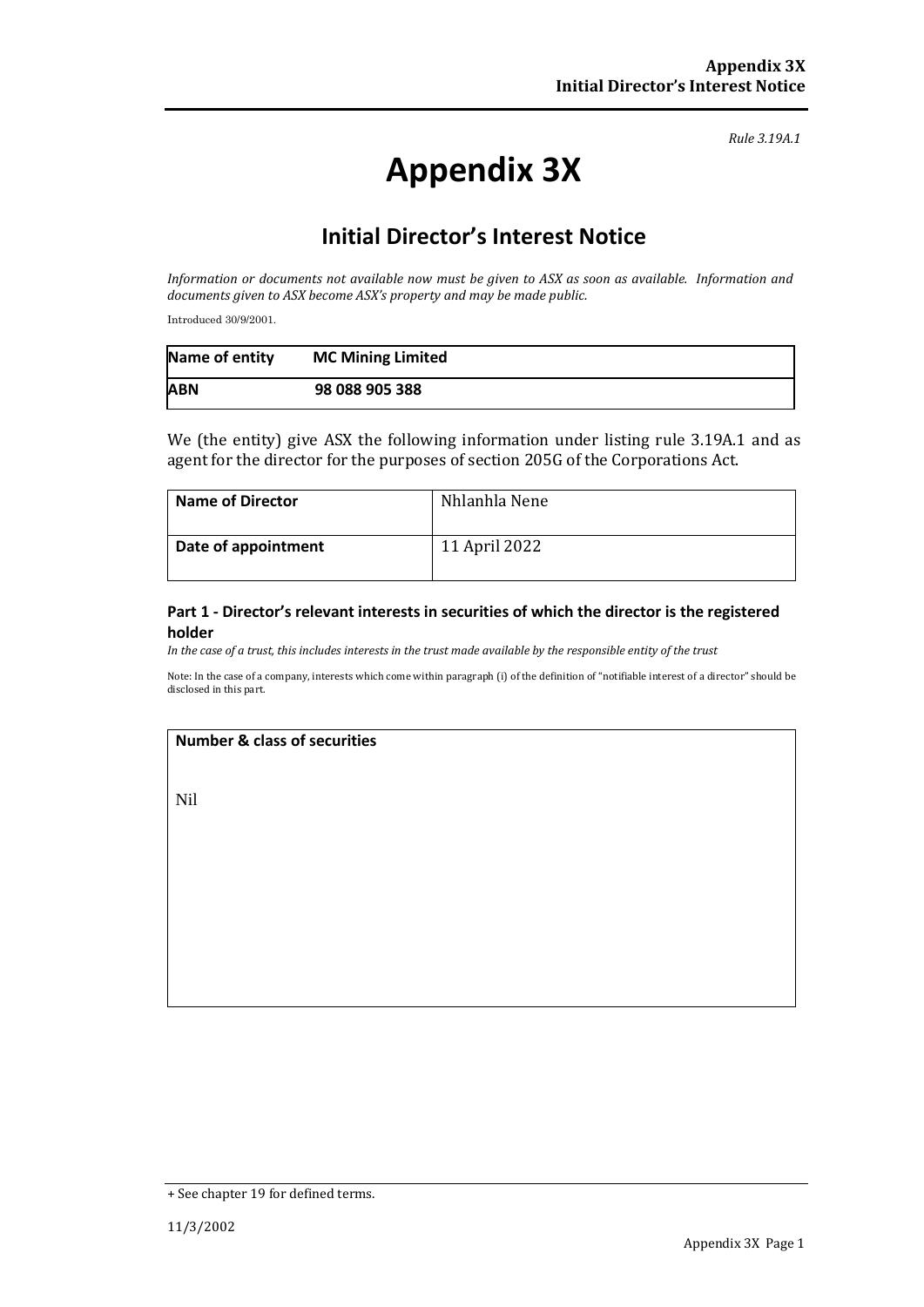*Rule 3.19A.1*

# **Appendix 3X**

## **Initial Director's Interest Notice**

*Information or documents not available now must be given to ASX as soon as available. Information and documents given to ASX become ASX's property and may be made public.*

Introduced 30/9/2001.

| Name of entity | <b>MC Mining Limited</b> |
|----------------|--------------------------|
| <b>ABN</b>     | 98 088 905 388           |

We (the entity) give ASX the following information under listing rule 3.19A.1 and as agent for the director for the purposes of section 205G of the Corporations Act.

| <b>Name of Director</b> | Nhlanhla Nene |
|-------------------------|---------------|
| Date of appointment     | 11 April 2022 |

#### **Part 1 - Director's relevant interests in securities of which the director is the registered holder**

*In the case of a trust, this includes interests in the trust made available by the responsible entity of the trust*

Note: In the case of a company, interests which come within paragraph (i) of the definition of "notifiable interest of a director" should be disclosed in this part.

#### **Number & class of securities**

Nil

<sup>+</sup> See chapter 19 for defined terms.